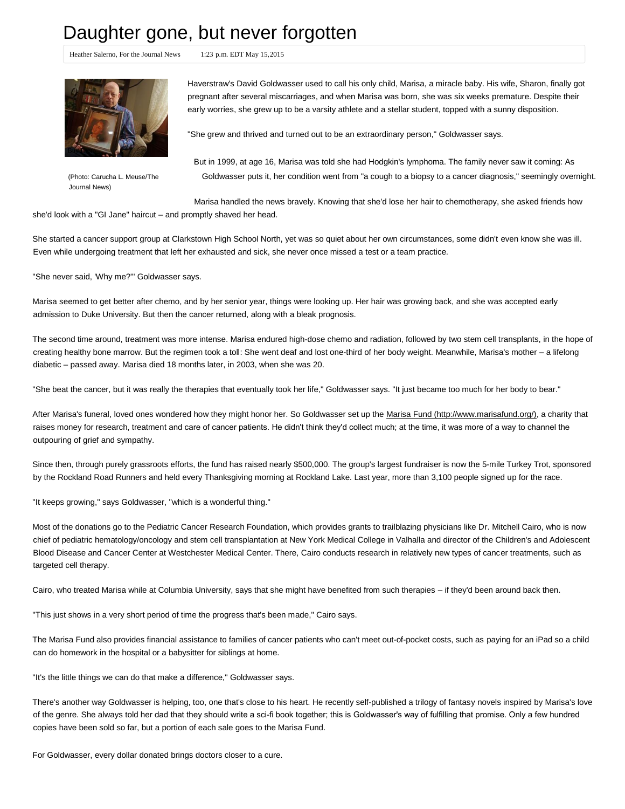## Daughter gone, but never forgotten

Heather Salerno, For the Journal News 1:23 p.m. EDT May 15, 2015

Buy Photo

Journal News)

Haverstraw's David Goldwasser used to call his only child, Marisa, a miracle baby. His wife, Sharon, finally got pregnant after several miscarriages, and when Marisa was born, she was six weeks premature. Despite their early worries, she grew up to be a varsity athlete and a stellar student, topped with a sunny disposition.

"She grew and thrived and turned out to be an extraordinary person," Goldwasser says.

But in 1999, at age 16, Marisa was told she had Hodgkin's lymphoma. The family never saw it coming: As (Photo: Carucha L. Meuse/The Goldwasser puts it, her condition went from "a cough to a biopsy to a cancer diagnosis," seemingly overnight.

Marisa handled the news bravely. Knowing that she'd lose her hair to chemotherapy, she asked friends how she'd look with a "GI Jane" haircut – and promptly shaved her head.

She started a cancer support group at Clarkstown High School North, yet was so quiet about her own circumstances, some didn't even know she was ill. Even while undergoing treatment that left her exhausted and sick, she never once missed a test or a team practice.

"She never said, 'Why me?'" Goldwasser says.

Marisa seemed to get better after chemo, and by her senior year, things were looking up. Her hair was growing back, and she was accepted early admission to Duke University. But then the cancer returned, along with a bleak prognosis.

The second time around, treatment was more intense. Marisa endured high-dose chemo and radiation, followed by two stem cell transplants, in the hope of creating healthy bone marrow. But the regimen took a toll: She went deaf and lost one-third of her body weight. Meanwhile, Marisa's mother – a lifelong diabetic – passed away. Marisa died 18 months later, in 2003, when she was 20.

"She beat the cancer, but it was really the therapies that eventually took her life," Goldwasser says. "It just became too much for her body to bear."

After Marisa's funeral, loved ones wondered how they might honor her. So Goldwasser set up the Marisa Fund (http://www.marisafund.org/), a charity that raises money for research, treatment and care of cancer patients. He didn't think they'd collect much; at the time, it was more of a way to channel the outpouring of grief and sympathy.

Since then, through purely grassroots efforts, the fund has raised nearly \$500,000. The group's largest fundraiser is now the 5-mile Turkey Trot, sponsored by the Rockland Road Runners and held every Thanksgiving morning at Rockland Lake. Last year, more than 3,100 people signed up for the race.

"It keeps growing," says Goldwasser, "which is a wonderful thing."

Most of the donations go to the Pediatric Cancer Research Foundation, which provides grants to trailblazing physicians like Dr. Mitchell Cairo, who is now chief of pediatric hematology/oncology and stem cell transplantation at New York Medical College in Valhalla and director of the Children's and Adolescent Blood Disease and Cancer Center at Westchester Medical Center. There, Cairo conducts research in relatively new types of cancer treatments, such as targeted cell therapy.

Cairo, who treated Marisa while at Columbia University, says that she might have benefited from such therapies – if they'd been around back then.

"This just shows in a very short period of time the progress that's been made," Cairo says.

The Marisa Fund also provides financial assistance to families of cancer patients who can't meet out-of-pocket costs, such as paying for an iPad so a child can do homework in the hospital or a babysitter for siblings at home.

"It's the little things we can do that make a difference," Goldwasser says.

There's another way Goldwasser is helping, too, one that's close to his heart. He recently self-published a trilogy of fantasy novels inspired by Marisa's love of the genre. She always told her dad that they should write a scifi book together; this is Goldwasser's way of fulfilling that promise. Only a few hundred copies have been sold so far, but a portion of each sale goes to the Marisa Fund.

For Goldwasser, every dollar donated brings doctors closer to a cure.